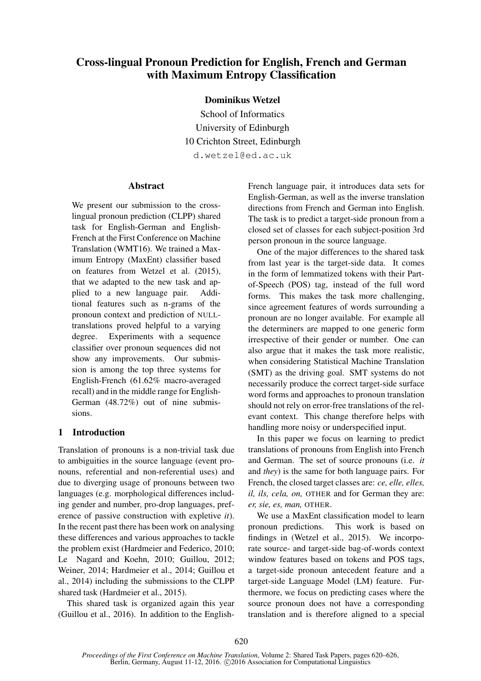# Cross-lingual Pronoun Prediction for English, French and German with Maximum Entropy Classification

Dominikus Wetzel

School of Informatics University of Edinburgh 10 Crichton Street, Edinburgh d.wetzel@ed.ac.uk

### **Abstract**

We present our submission to the crosslingual pronoun prediction (CLPP) shared task for English-German and English-French at the First Conference on Machine Translation (WMT16). We trained a Maximum Entropy (MaxEnt) classifier based on features from Wetzel et al. (2015), that we adapted to the new task and applied to a new language pair. Additional features such as n-grams of the pronoun context and prediction of NULLtranslations proved helpful to a varying degree. Experiments with a sequence classifier over pronoun sequences did not show any improvements. Our submission is among the top three systems for English-French (61.62% macro-averaged recall) and in the middle range for English-German (48.72%) out of nine submissions.

# 1 Introduction

Translation of pronouns is a non-trivial task due to ambiguities in the source language (event pronouns, referential and non-referential uses) and due to diverging usage of pronouns between two languages (e.g. morphological differences including gender and number, pro-drop languages, preference of passive construction with expletive *it*). In the recent past there has been work on analysing these differences and various approaches to tackle the problem exist (Hardmeier and Federico, 2010; Le Nagard and Koehn, 2010; Guillou, 2012; Weiner, 2014; Hardmeier et al., 2014; Guillou et al., 2014) including the submissions to the CLPP shared task (Hardmeier et al., 2015).

This shared task is organized again this year (Guillou et al., 2016). In addition to the EnglishFrench language pair, it introduces data sets for English-German, as well as the inverse translation directions from French and German into English. The task is to predict a target-side pronoun from a closed set of classes for each subject-position 3rd person pronoun in the source language.

One of the major differences to the shared task from last year is the target-side data. It comes in the form of lemmatized tokens with their Partof-Speech (POS) tag, instead of the full word forms. This makes the task more challenging, since agreement features of words surrounding a pronoun are no longer available. For example all the determiners are mapped to one generic form irrespective of their gender or number. One can also argue that it makes the task more realistic, when considering Statistical Machine Translation (SMT) as the driving goal. SMT systems do not necessarily produce the correct target-side surface word forms and approaches to pronoun translation should not rely on error-free translations of the relevant context. This change therefore helps with handling more noisy or underspecified input.

In this paper we focus on learning to predict translations of pronouns from English into French and German. The set of source pronouns (i.e. *it* and *they*) is the same for both language pairs. For French, the closed target classes are: *ce, elle, elles, il, ils, cela, on,* OTHER and for German they are: *er, sie, es, man,* OTHER.

We use a MaxEnt classification model to learn pronoun predictions. This work is based on findings in (Wetzel et al., 2015). We incorporate source- and target-side bag-of-words context window features based on tokens and POS tags, a target-side pronoun antecedent feature and a target-side Language Model (LM) feature. Furthermore, we focus on predicting cases where the source pronoun does not have a corresponding translation and is therefore aligned to a special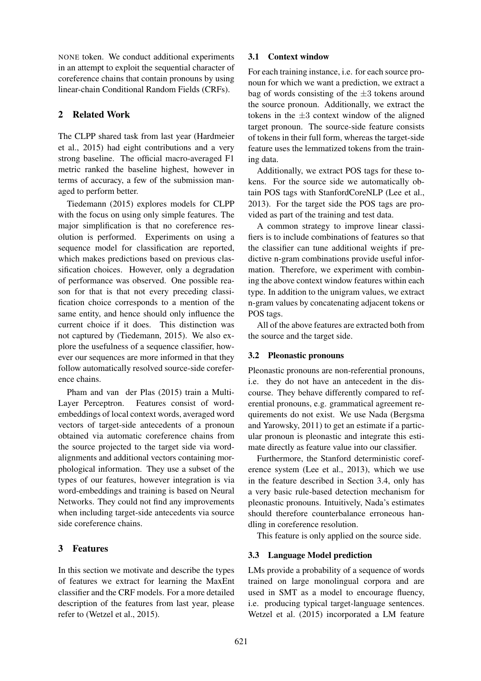NONE token. We conduct additional experiments in an attempt to exploit the sequential character of coreference chains that contain pronouns by using linear-chain Conditional Random Fields (CRFs).

# 2 Related Work

The CLPP shared task from last year (Hardmeier et al., 2015) had eight contributions and a very strong baseline. The official macro-averaged F1 metric ranked the baseline highest, however in terms of accuracy, a few of the submission managed to perform better.

Tiedemann (2015) explores models for CLPP with the focus on using only simple features. The major simplification is that no coreference resolution is performed. Experiments on using a sequence model for classification are reported, which makes predictions based on previous classification choices. However, only a degradation of performance was observed. One possible reason for that is that not every preceding classification choice corresponds to a mention of the same entity, and hence should only influence the current choice if it does. This distinction was not captured by (Tiedemann, 2015). We also explore the usefulness of a sequence classifier, however our sequences are more informed in that they follow automatically resolved source-side coreference chains.

Pham and van der Plas (2015) train a Multi-Layer Perceptron. Features consist of wordembeddings of local context words, averaged word vectors of target-side antecedents of a pronoun obtained via automatic coreference chains from the source projected to the target side via wordalignments and additional vectors containing morphological information. They use a subset of the types of our features, however integration is via word-embeddings and training is based on Neural Networks. They could not find any improvements when including target-side antecedents via source side coreference chains.

# 3 Features

In this section we motivate and describe the types of features we extract for learning the MaxEnt classifier and the CRF models. For a more detailed description of the features from last year, please refer to (Wetzel et al., 2015).

### 3.1 Context window

For each training instance, i.e. for each source pronoun for which we want a prediction, we extract a bag of words consisting of the  $\pm 3$  tokens around the source pronoun. Additionally, we extract the tokens in the  $\pm 3$  context window of the aligned target pronoun. The source-side feature consists of tokens in their full form, whereas the target-side feature uses the lemmatized tokens from the training data.

Additionally, we extract POS tags for these tokens. For the source side we automatically obtain POS tags with StanfordCoreNLP (Lee et al., 2013). For the target side the POS tags are provided as part of the training and test data.

A common strategy to improve linear classifiers is to include combinations of features so that the classifier can tune additional weights if predictive n-gram combinations provide useful information. Therefore, we experiment with combining the above context window features within each type. In addition to the unigram values, we extract n-gram values by concatenating adjacent tokens or POS tags.

All of the above features are extracted both from the source and the target side.

#### 3.2 Pleonastic pronouns

Pleonastic pronouns are non-referential pronouns, i.e. they do not have an antecedent in the discourse. They behave differently compared to referential pronouns, e.g. grammatical agreement requirements do not exist. We use Nada (Bergsma and Yarowsky, 2011) to get an estimate if a particular pronoun is pleonastic and integrate this estimate directly as feature value into our classifier.

Furthermore, the Stanford deterministic coreference system (Lee et al., 2013), which we use in the feature described in Section 3.4, only has a very basic rule-based detection mechanism for pleonastic pronouns. Intuitively, Nada's estimates should therefore counterbalance erroneous handling in coreference resolution.

This feature is only applied on the source side.

# 3.3 Language Model prediction

LMs provide a probability of a sequence of words trained on large monolingual corpora and are used in SMT as a model to encourage fluency, i.e. producing typical target-language sentences. Wetzel et al. (2015) incorporated a LM feature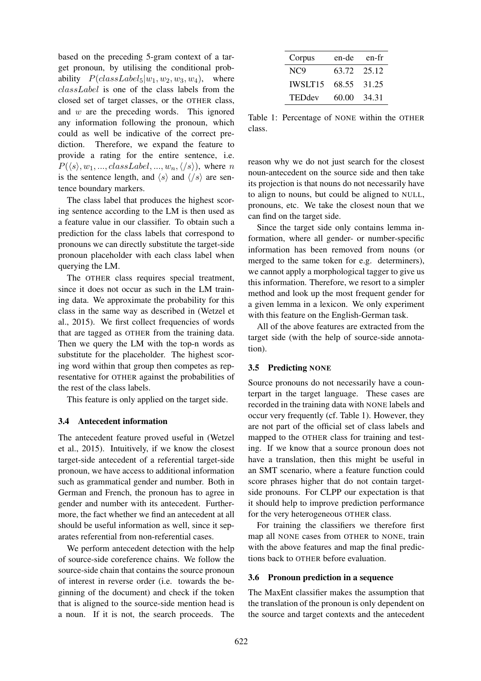based on the preceding 5-gram context of a target pronoun, by utilising the conditional probability  $P(classLabel_5|w_1, w_2, w_3, w_4)$ , where classLabel is one of the class labels from the closed set of target classes, or the OTHER class, and w are the preceding words. This ignored any information following the pronoun, which could as well be indicative of the correct prediction. Therefore, we expand the feature to provide a rating for the entire sentence, i.e.  $P(\langle s \rangle, w_1, ..., classLabel, ..., w_n, \langle s \rangle)$ , where n is the sentence length, and  $\langle s \rangle$  and  $\langle/s \rangle$  are sentence boundary markers.

The class label that produces the highest scoring sentence according to the LM is then used as a feature value in our classifier. To obtain such a prediction for the class labels that correspond to pronouns we can directly substitute the target-side pronoun placeholder with each class label when querying the LM.

The OTHER class requires special treatment, since it does not occur as such in the LM training data. We approximate the probability for this class in the same way as described in (Wetzel et al., 2015). We first collect frequencies of words that are tagged as OTHER from the training data. Then we query the LM with the top-n words as substitute for the placeholder. The highest scoring word within that group then competes as representative for OTHER against the probabilities of the rest of the class labels.

This feature is only applied on the target side.

#### 3.4 Antecedent information

The antecedent feature proved useful in (Wetzel et al., 2015). Intuitively, if we know the closest target-side antecedent of a referential target-side pronoun, we have access to additional information such as grammatical gender and number. Both in German and French, the pronoun has to agree in gender and number with its antecedent. Furthermore, the fact whether we find an antecedent at all should be useful information as well, since it separates referential from non-referential cases.

We perform antecedent detection with the help of source-side coreference chains. We follow the source-side chain that contains the source pronoun of interest in reverse order (i.e. towards the beginning of the document) and check if the token that is aligned to the source-side mention head is a noun. If it is not, the search proceeds. The

| Corpus          | en-de       | en-fr |
|-----------------|-------------|-------|
| NC <sub>9</sub> | 63.72 25.12 |       |
| <b>IWSLT15</b>  | 68.55       | 31.25 |
| <b>TEDdev</b>   | 60.00       | 34.31 |

Table 1: Percentage of NONE within the OTHER class.

reason why we do not just search for the closest noun-antecedent on the source side and then take its projection is that nouns do not necessarily have to align to nouns, but could be aligned to NULL, pronouns, etc. We take the closest noun that we can find on the target side.

Since the target side only contains lemma information, where all gender- or number-specific information has been removed from nouns (or merged to the same token for e.g. determiners), we cannot apply a morphological tagger to give us this information. Therefore, we resort to a simpler method and look up the most frequent gender for a given lemma in a lexicon. We only experiment with this feature on the English-German task.

All of the above features are extracted from the target side (with the help of source-side annotation).

# 3.5 Predicting NONE

Source pronouns do not necessarily have a counterpart in the target language. These cases are recorded in the training data with NONE labels and occur very frequently (cf. Table 1). However, they are not part of the official set of class labels and mapped to the OTHER class for training and testing. If we know that a source pronoun does not have a translation, then this might be useful in an SMT scenario, where a feature function could score phrases higher that do not contain targetside pronouns. For CLPP our expectation is that it should help to improve prediction performance for the very heterogeneous OTHER class.

For training the classifiers we therefore first map all NONE cases from OTHER to NONE, train with the above features and map the final predictions back to OTHER before evaluation.

#### 3.6 Pronoun prediction in a sequence

The MaxEnt classifier makes the assumption that the translation of the pronoun is only dependent on the source and target contexts and the antecedent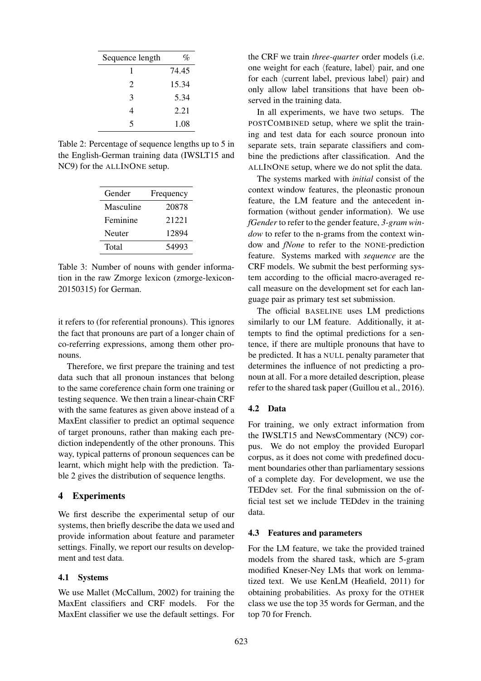| Sequence length | %     |
|-----------------|-------|
| 1               | 74.45 |
| 2               | 15.34 |
| 3               | 5.34  |
| 4               | 2.21  |
| 5               | 1.08  |

Table 2: Percentage of sequence lengths up to 5 in the English-German training data (IWSLT15 and NC9) for the ALLINONE setup.

| Gender    | Frequency |
|-----------|-----------|
| Masculine | 20878     |
| Feminine  | 21221     |
| Neuter    | 12894     |
| Total     | 54993     |

Table 3: Number of nouns with gender information in the raw Zmorge lexicon (zmorge-lexicon-20150315) for German.

it refers to (for referential pronouns). This ignores the fact that pronouns are part of a longer chain of co-referring expressions, among them other pronouns.

Therefore, we first prepare the training and test data such that all pronoun instances that belong to the same coreference chain form one training or testing sequence. We then train a linear-chain CRF with the same features as given above instead of a MaxEnt classifier to predict an optimal sequence of target pronouns, rather than making each prediction independently of the other pronouns. This way, typical patterns of pronoun sequences can be learnt, which might help with the prediction. Table 2 gives the distribution of sequence lengths.

#### 4 Experiments

We first describe the experimental setup of our systems, then briefly describe the data we used and provide information about feature and parameter settings. Finally, we report our results on development and test data.

#### 4.1 Systems

We use Mallet (McCallum, 2002) for training the MaxEnt classifiers and CRF models. For the MaxEnt classifier we use the default settings. For the CRF we train *three-quarter* order models (i.e. one weight for each  $\langle$  feature, label $\rangle$  pair, and one for each  $\langle$  current label, previous label $\rangle$  pair) and only allow label transitions that have been observed in the training data.

In all experiments, we have two setups. The POSTCOMBINED setup, where we split the training and test data for each source pronoun into separate sets, train separate classifiers and combine the predictions after classification. And the ALLINONE setup, where we do not split the data.

The systems marked with *initial* consist of the context window features, the pleonastic pronoun feature, the LM feature and the antecedent information (without gender information). We use *fGender* to refer to the gender feature, *3-gram window* to refer to the n-grams from the context window and *fNone* to refer to the NONE-prediction feature. Systems marked with *sequence* are the CRF models. We submit the best performing system according to the official macro-averaged recall measure on the development set for each language pair as primary test set submission.

The official BASELINE uses LM predictions similarly to our LM feature. Additionally, it attempts to find the optimal predictions for a sentence, if there are multiple pronouns that have to be predicted. It has a NULL penalty parameter that determines the influence of not predicting a pronoun at all. For a more detailed description, please refer to the shared task paper (Guillou et al., 2016).

#### 4.2 Data

For training, we only extract information from the IWSLT15 and NewsCommentary (NC9) corpus. We do not employ the provided Europarl corpus, as it does not come with predefined document boundaries other than parliamentary sessions of a complete day. For development, we use the TEDdev set. For the final submission on the official test set we include TEDdev in the training data.

#### 4.3 Features and parameters

For the LM feature, we take the provided trained models from the shared task, which are 5-gram modified Kneser-Ney LMs that work on lemmatized text. We use KenLM (Heafield, 2011) for obtaining probabilities. As proxy for the OTHER class we use the top 35 words for German, and the top 70 for French.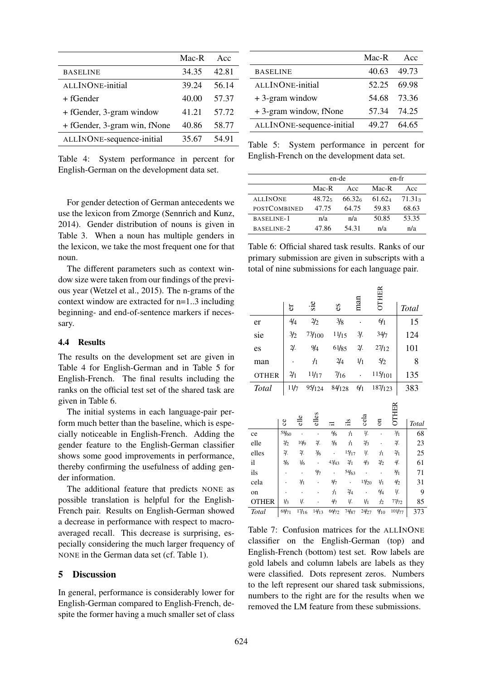|                              | Mac-R | Acc   |
|------------------------------|-------|-------|
| <b>BASELINE</b>              | 34.35 | 42.81 |
| ALLINONE-initial             | 39.24 | 56.14 |
| + fGender                    | 40.00 | 57.37 |
| + fGender, 3-gram window     | 41.21 | 57.72 |
| + fGender, 3-gram win, fNone | 40.86 | 58.77 |
| ALLINONE-sequence-initial    | 35.67 | 54.91 |

Table 4: System performance in percent for English-German on the development data set.

For gender detection of German antecedents we use the lexicon from Zmorge (Sennrich and Kunz, 2014). Gender distribution of nouns is given in Table 3. When a noun has multiple genders in the lexicon, we take the most frequent one for that noun.

The different parameters such as context window size were taken from our findings of the previous year (Wetzel et al., 2015). The n-grams of the context window are extracted for n=1..3 including beginning- and end-of-sentence markers if necessary.

#### 4.4 Results

The results on the development set are given in Table 4 for English-German and in Table 5 for English-French. The final results including the ranks on the official test set of the shared task are given in Table 6.

The initial systems in each language-pair perform much better than the baseline, which is especially noticeable in English-French. Adding the gender feature to the English-German classifier shows some good improvements in performance, thereby confirming the usefulness of adding gender information.

The additional feature that predicts NONE as possible translation is helpful for the English-French pair. Results on English-German showed a decrease in performance with respect to macroaveraged recall. This decrease is surprising, especially considering the much larger frequency of NONE in the German data set (cf. Table 1).

# 5 Discussion

In general, performance is considerably lower for English-German compared to English-French, despite the former having a much smaller set of class

|                           | $Mac-R$     | Acc         |
|---------------------------|-------------|-------------|
| <b>BASELINE</b>           | 40.63 49.73 |             |
| ALLINONE-initial          | 52.25       | - 69 98     |
| $+3$ -gram window         |             | 54.68 73.36 |
| + 3-gram window, fNone    |             | 57.34 74.25 |
| ALLINONE-sequence-initial | 49.27       | - 64.65     |

Table 5: System performance in percent for English-French on the development data set.

|                     |        | en-de              | en-fr  |                    |  |
|---------------------|--------|--------------------|--------|--------------------|--|
|                     | Mac-R  | Acc                | Mac-R  | Acc                |  |
| <b>ALLINONE</b>     | 48.725 | 66.32 <sub>6</sub> | 61.624 | 71.31 <sub>3</sub> |  |
| <b>POSTCOMBINED</b> | 47.75  | 64.75              | 59.83  | 68.63              |  |
| BASELINE-1          | n/a    | n/a                | 50.85  | 53.35              |  |
| BASELINE-2          | 47.86  | 54.31              | n/a    | n/a                |  |

Table 6: Official shared task results. Ranks of our primary submission are given in subscripts with a total of nine submissions for each language pair.

|              | £.              |                      | $\cdot$ ie |                      |  | es                   |               | man             |                      | OTHER                   |      |                 |  |              |  |   |
|--------------|-----------------|----------------------|------------|----------------------|--|----------------------|---------------|-----------------|----------------------|-------------------------|------|-----------------|--|--------------|--|---|
|              |                 |                      |            |                      |  |                      |               |                 |                      |                         |      |                 |  | <b>Total</b> |  |   |
| er           | 4/4             |                      |            | $\frac{2}{2}$        |  | $\frac{3}{8}$        |               |                 |                      |                         | 6/1  |                 |  | 15           |  |   |
| sie          | 3/2             |                      |            | 73/100               |  | 11/15                |               |                 | $\frac{3}{2}$ .      |                         | 34/7 |                 |  | 124          |  |   |
| es           | $\mathcal{Y}.$  |                      |            | 9/4                  |  | 61/85                |               | $\mathcal{Y}$ . |                      | 27/12                   |      |                 |  | 101          |  |   |
| man          |                 |                      |            | $\frac{1}{2}$        |  | $\frac{2}{4}$        |               | 1/1             |                      | 5/2                     |      |                 |  |              |  | 8 |
| <b>OTHER</b> | $\frac{2}{1}$   |                      |            | 11/17                |  | $\frac{7}{16}$       |               |                 |                      | 115/101                 |      |                 |  | 135          |  |   |
| <b>Total</b> | 11/7            |                      |            | 95/124               |  | 84/128               |               | $\frac{6}{1}$   |                      | 187/123                 |      |                 |  | 383          |  |   |
|              |                 | elle                 |            | elles                |  |                      |               |                 | cela                 |                         |      | OTHER           |  |              |  |   |
|              | ce              |                      |            |                      |  |                      | еļЕ:          |                 |                      | $\overline{\mathrm{m}}$ |      |                 |  | Total        |  |   |
| ce           | 58/60           | $\cdot$              |            | $\ddot{\phantom{0}}$ |  | $\frac{6}{6}$        | $\frac{1}{1}$ |                 | Ψ.                   |                         |      | $\frac{3}{1}$   |  | 68           |  |   |
| elle         | $\frac{2}{2}$   | 10/9                 |            | $\mathcal{Y}$ .      |  | $\frac{5}{8}$        | $\frac{1}{1}$ |                 | $\frac{2}{3}$        |                         |      | $\mathcal{Y}$ . |  | 23           |  |   |
| elles        | $\mathcal{Y}$ . | $\mathcal{Y}$ .      |            | $\frac{3}{6}$        |  | $\blacksquare$       | 15/17         |                 | 1/.                  | $\frac{1}{2}$           |      | $\frac{2}{1}$   |  | 25           |  |   |
| il           | $\frac{5}{6}$   | $\frac{1}{6}$        |            | $\cdot$              |  | 43/43                | $\frac{2}{1}$ |                 | 4/3                  | $\frac{2}{2}$           |      | 4.              |  | 61           |  |   |
| ils          |                 | $\ddot{\phantom{0}}$ |            | 9/7                  |  | $\ddot{\phantom{0}}$ | 54/63         |                 | $\ddot{\phantom{0}}$ | $\ddot{\phantom{0}}$    |      | $\frac{8}{1}$   |  | 71           |  |   |
| cela         |                 | $\frac{3}{1}$        |            |                      |  | 8/7                  | $\sim$        |                 | 15/20                | $\frac{1}{1}$           |      | 4/2             |  | 31           |  |   |
| on           |                 |                      |            |                      |  | $\frac{1}{2}$        | $\frac{2}{4}$ |                 |                      | $\frac{6}{4}$           |      | $\frac{1}{2}$   |  | 9            |  |   |
| <b>OTHER</b> | $\frac{1}{3}$   | 1/.                  |            |                      |  | 4/7                  | 1/2           |                 | 1/1                  | ·/2                     |      | 77/72           |  | 85           |  |   |
| Total        | 68/71           | 17/16                |            | 14/13                |  | 66/72                | 74/87         |                 | 24/27                | 9/10                    |      | 101/77          |  | 373          |  |   |

Table 7: Confusion matrices for the ALLINONE classifier on the English-German (top) and English-French (bottom) test set. Row labels are gold labels and column labels are labels as they were classified. Dots represent zeros. Numbers to the left represent our shared task submissions, numbers to the right are for the results when we removed the LM feature from these submissions.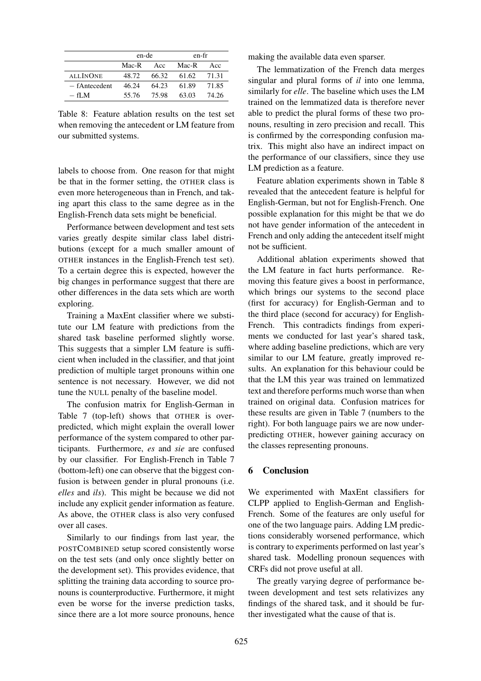|                 | en-de |       | en-fr |       |  |
|-----------------|-------|-------|-------|-------|--|
|                 | Mac-R | - Acc | Mac-R | Acc   |  |
| <b>ALLINONE</b> | 48.72 | 66.32 | 61.62 | 71.31 |  |
| $-$ fAntecedent | 46.24 | 64.23 | 61.89 | 71.85 |  |
| $-$ fI M        | 55.76 | 75.98 | 63.03 | 74.26 |  |

Table 8: Feature ablation results on the test set when removing the antecedent or LM feature from our submitted systems.

labels to choose from. One reason for that might be that in the former setting, the OTHER class is even more heterogeneous than in French, and taking apart this class to the same degree as in the English-French data sets might be beneficial.

Performance between development and test sets varies greatly despite similar class label distributions (except for a much smaller amount of OTHER instances in the English-French test set). To a certain degree this is expected, however the big changes in performance suggest that there are other differences in the data sets which are worth exploring.

Training a MaxEnt classifier where we substitute our LM feature with predictions from the shared task baseline performed slightly worse. This suggests that a simpler LM feature is sufficient when included in the classifier, and that joint prediction of multiple target pronouns within one sentence is not necessary. However, we did not tune the NULL penalty of the baseline model.

The confusion matrix for English-German in Table 7 (top-left) shows that OTHER is overpredicted, which might explain the overall lower performance of the system compared to other participants. Furthermore, *es* and *sie* are confused by our classifier. For English-French in Table 7 (bottom-left) one can observe that the biggest confusion is between gender in plural pronouns (i.e. *elles* and *ils*). This might be because we did not include any explicit gender information as feature. As above, the OTHER class is also very confused over all cases.

Similarly to our findings from last year, the POSTCOMBINED setup scored consistently worse on the test sets (and only once slightly better on the development set). This provides evidence, that splitting the training data according to source pronouns is counterproductive. Furthermore, it might even be worse for the inverse prediction tasks, since there are a lot more source pronouns, hence making the available data even sparser.

The lemmatization of the French data merges singular and plural forms of *il* into one lemma, similarly for *elle*. The baseline which uses the LM trained on the lemmatized data is therefore never able to predict the plural forms of these two pronouns, resulting in zero precision and recall. This is confirmed by the corresponding confusion matrix. This might also have an indirect impact on the performance of our classifiers, since they use LM prediction as a feature.

Feature ablation experiments shown in Table 8 revealed that the antecedent feature is helpful for English-German, but not for English-French. One possible explanation for this might be that we do not have gender information of the antecedent in French and only adding the antecedent itself might not be sufficient.

Additional ablation experiments showed that the LM feature in fact hurts performance. Removing this feature gives a boost in performance, which brings our systems to the second place (first for accuracy) for English-German and to the third place (second for accuracy) for English-French. This contradicts findings from experiments we conducted for last year's shared task, where adding baseline predictions, which are very similar to our LM feature, greatly improved results. An explanation for this behaviour could be that the LM this year was trained on lemmatized text and therefore performs much worse than when trained on original data. Confusion matrices for these results are given in Table 7 (numbers to the right). For both language pairs we are now underpredicting OTHER, however gaining accuracy on the classes representing pronouns.

## 6 Conclusion

We experimented with MaxEnt classifiers for CLPP applied to English-German and English-French. Some of the features are only useful for one of the two language pairs. Adding LM predictions considerably worsened performance, which is contrary to experiments performed on last year's shared task. Modelling pronoun sequences with CRFs did not prove useful at all.

The greatly varying degree of performance between development and test sets relativizes any findings of the shared task, and it should be further investigated what the cause of that is.